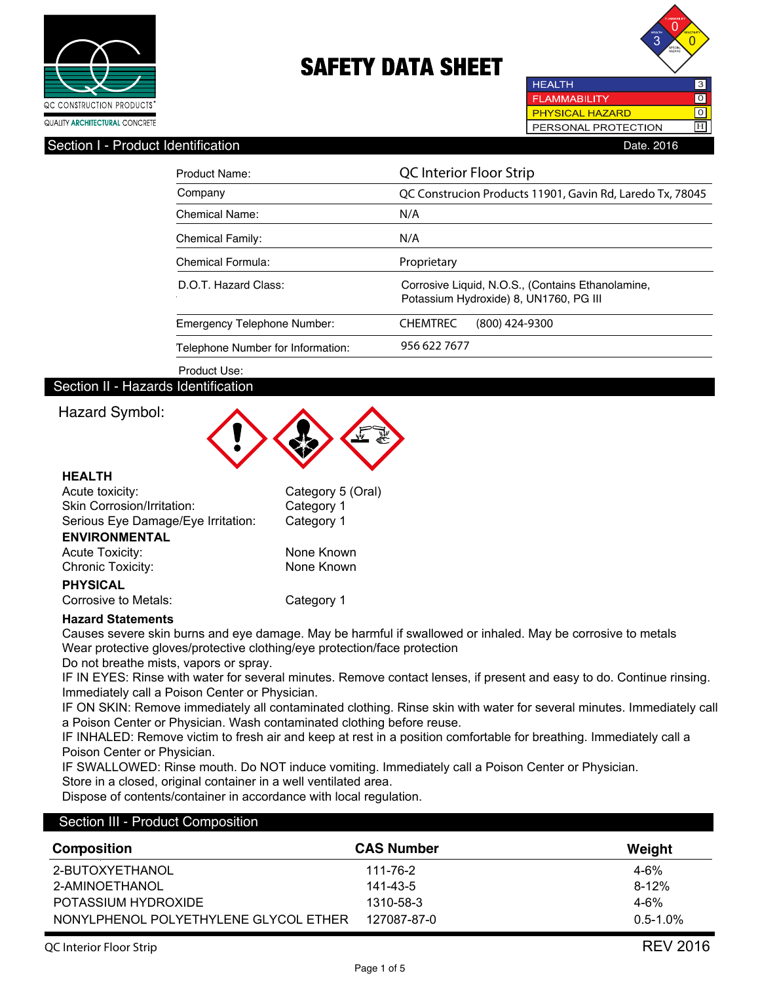



#### Section I - Product Identification **Date. 2016** Date. 2016

| Product Name:                     | <b>QC</b> Interior Floor Strip                                                              |  |
|-----------------------------------|---------------------------------------------------------------------------------------------|--|
| Company                           | QC Construcion Products 11901, Gavin Rd, Laredo Tx, 78045                                   |  |
| <b>Chemical Name:</b>             | N/A                                                                                         |  |
| <b>Chemical Family:</b>           | N/A                                                                                         |  |
| Chemical Formula:                 | Proprietary                                                                                 |  |
| D.O.T. Hazard Class:              | Corrosive Liquid, N.O.S., (Contains Ethanolamine,<br>Potassium Hydroxide) 8, UN1760, PG III |  |
| Emergency Telephone Number:       | <b>CHEMTREC</b><br>$(800)$ 424-9300                                                         |  |
| Telephone Number for Information: | 956 622 7677                                                                                |  |

Product Use:

### Section II - Hazards Identification

## Hazard Symbol:



#### **HEALTH**

| Acute toxicity:                    | Category 5 (Oral) |
|------------------------------------|-------------------|
| Skin Corrosion/Irritation:         | Category 1        |
| Serious Eye Damage/Eye Irritation: | Category 1        |
| <b>ENVIRONMENTAL</b>               |                   |
| <b>Acute Toxicity:</b>             | None Known        |
| <b>Chronic Toxicity:</b>           | None Known        |
| <b>PHYSICAL</b>                    |                   |
| Corrosive to Metals:               | Category 1        |

#### **Hazard Statements**

Causes severe skin burns and eye damage. May be harmful if swallowed or inhaled. May be corrosive to metals Wear protective gloves/protective clothing/eye protection/face protection

Do not breathe mists, vapors or spray.

IF IN EYES: Rinse with water for several minutes. Remove contact lenses, if present and easy to do. Continue rinsing. Immediately call a Poison Center or Physician.

IF ON SKIN: Remove immediately all contaminated clothing. Rinse skin with water for several minutes. Immediately call a Poison Center or Physician. Wash contaminated clothing before reuse.

IF INHALED: Remove victim to fresh air and keep at rest in a position comfortable for breathing. Immediately call a Poison Center or Physician.

IF SWALLOWED: Rinse mouth. Do NOT induce vomiting. Immediately call a Poison Center or Physician.

Store in a closed, original container in a well ventilated area.

Dispose of contents/container in accordance with local regulation.

#### Section III - Product Composition

| <b>Composition</b>                    | <b>CAS Number</b> | Weight        |
|---------------------------------------|-------------------|---------------|
| 2-BUTOXYETHANOL                       | 111-76-2          | $4 - 6\%$     |
| 2-AMINOETHANOL                        | 141-43-5          | $8 - 12%$     |
| POTASSIUM HYDROXIDE                   | 1310-58-3         | $4 - 6\%$     |
| NONYLPHENOL POLYETHYLENE GLYCOL ETHER | 127087-87-0       | $0.5 - 1.0\%$ |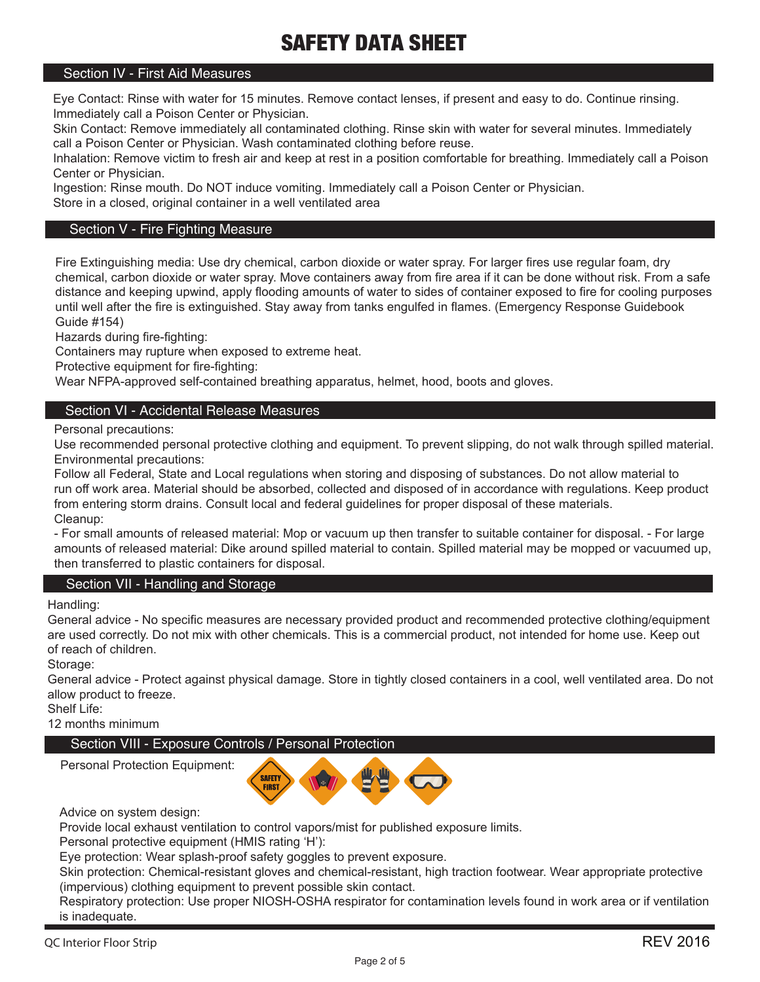### Section IV - First Aid Measures

Eye Contact: Rinse with water for 15 minutes. Remove contact lenses, if present and easy to do. Continue rinsing. Immediately call a Poison Center or Physician.

Skin Contact: Remove immediately all contaminated clothing. Rinse skin with water for several minutes. Immediately call a Poison Center or Physician. Wash contaminated clothing before reuse.

Inhalation: Remove victim to fresh air and keep at rest in a position comfortable for breathing. Immediately call a Poison Center or Physician.

Ingestion: Rinse mouth. Do NOT induce vomiting. Immediately call a Poison Center or Physician.

Store in a closed, original container in a well ventilated area

### Section V - Fire Fighting Measure

Fire Extinguishing media: Use dry chemical, carbon dioxide or water spray. For larger fires use regular foam, dry chemical, carbon dioxide or water spray. Move containers away from fire area if it can be done without risk. From a safe distance and keeping upwind, apply flooding amounts of water to sides of container exposed to fire for cooling purposes until well after the fire is extinguished. Stay away from tanks engulfed in flames. (Emergency Response Guidebook Guide #154)

Hazards during fire-fighting:

Containers may rupture when exposed to extreme heat.

Protective equipment for fire-fighting:

Wear NFPA-approved self-contained breathing apparatus, helmet, hood, boots and gloves.

### Section VI - Accidental Release Measures

Personal precautions:

Use recommended personal protective clothing and equipment. To prevent slipping, do not walk through spilled material. Environmental precautions:

Follow all Federal, State and Local regulations when storing and disposing of substances. Do not allow material to run off work area. Material should be absorbed, collected and disposed of in accordance with regulations. Keep product from entering storm drains. Consult local and federal guidelines for proper disposal of these materials. Cleanup:

- For small amounts of released material: Mop or vacuum up then transfer to suitable container for disposal. - For large amounts of released material: Dike around spilled material to contain. Spilled material may be mopped or vacuumed up, then transferred to plastic containers for disposal.

### Section VII - Handling and Storage

Handling:

General advice - No specific measures are necessary provided product and recommended protective clothing/equipment are used correctly. Do not mix with other chemicals. This is a commercial product, not intended for home use. Keep out of reach of children.

Storage:

General advice - Protect against physical damage. Store in tightly closed containers in a cool, well ventilated area. Do not allow product to freeze.

Shelf Life:

12 months minimum

## Section VIII - Exposure Controls / Personal Protection



Advice on system design:

Personal Protection Equipment:

Provide local exhaust ventilation to control vapors/mist for published exposure limits.

Personal protective equipment (HMIS rating 'H'):

Eye protection: Wear splash-proof safety goggles to prevent exposure.

Skin protection: Chemical-resistant gloves and chemical-resistant, high traction footwear. Wear appropriate protective (impervious) clothing equipment to prevent possible skin contact.

Respiratory protection: Use proper NIOSH-OSHA respirator for contamination levels found in work area or if ventilation is inadequate.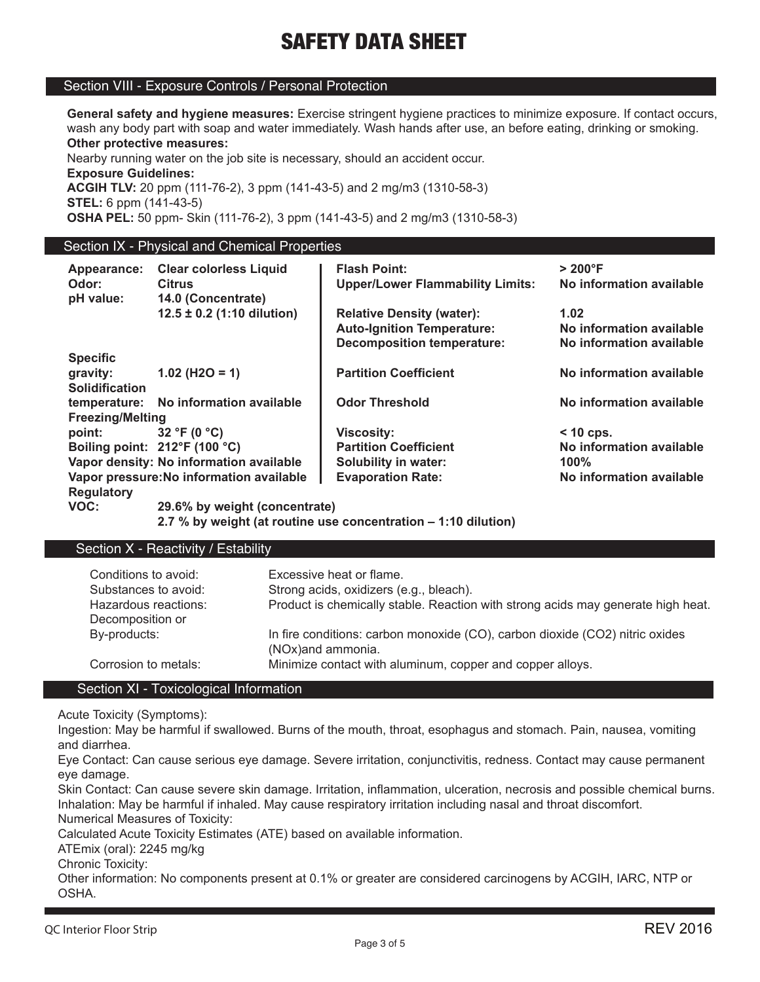#### Section VIII - Exposure Controls / Personal Protection

**General safety and hygiene measures:** Exercise stringent hygiene practices to minimize exposure. If contact occurs, wash any body part with soap and water immediately. Wash hands after use, an before eating, drinking or smoking. **Other protective measures:**

Nearby running water on the job site is necessary, should an accident occur. **Exposure Guidelines:**

**ACGIH TLV:** 20 ppm (111-76-2), 3 ppm (141-43-5) and 2 mg/m3 (1310-58-3) **STEL:** 6 ppm (141-43-5)

**OSHA PEL:** 50 ppm- Skin (111-76-2), 3 ppm (141-43-5) and 2 mg/m3 (1310-58-3)

#### Section IX - Physical and Chemical Properties

| Appearance:                   | <b>Clear colorless Liquid</b>            | <b>Flash Point:</b>                     | $>200^{\circ}$ F         |
|-------------------------------|------------------------------------------|-----------------------------------------|--------------------------|
| Odor:<br>pH value:            | <b>Citrus</b><br>14.0 (Concentrate)      | <b>Upper/Lower Flammability Limits:</b> | No information available |
|                               | $12.5 \pm 0.2$ (1:10 dilution)           | <b>Relative Density (water):</b>        | 1.02                     |
|                               |                                          | <b>Auto-Ignition Temperature:</b>       | No information available |
|                               |                                          | <b>Decomposition temperature:</b>       | No information available |
| <b>Specific</b>               |                                          |                                         |                          |
| gravity:                      | $1.02$ (H2O = 1)                         | <b>Partition Coefficient</b>            | No information available |
| <b>Solidification</b>         |                                          |                                         |                          |
|                               | temperature: No information available    | <b>Odor Threshold</b>                   | No information available |
| <b>Freezing/Melting</b>       |                                          |                                         |                          |
| point:                        | 32 °F (0 $^{\circ}$ C)                   | <b>Viscosity:</b>                       | $<$ 10 cps.              |
| Boiling point: 212°F (100 °C) |                                          | <b>Partition Coefficient</b>            | No information available |
|                               | Vapor density: No information available  | Solubility in water:                    | 100%                     |
|                               | Vapor pressure: No information available | <b>Evaporation Rate:</b>                | No information available |
| <b>Regulatory</b>             |                                          |                                         |                          |
| VOC:                          | 29.6% by weight (concentrate)            |                                         |                          |

 **2.7 % by weight (at routine use concentration – 1:10 dilution)**

### Section  $\overline{X}$  - Reactivity / Estability

| Conditions to avoid:<br>Substances to avoid: | Excessive heat or flame.<br>Strong acids, oxidizers (e.g., bleach).                               |
|----------------------------------------------|---------------------------------------------------------------------------------------------------|
|                                              |                                                                                                   |
| Hazardous reactions:                         | Product is chemically stable. Reaction with strong acids may generate high heat.                  |
| Decomposition or                             |                                                                                                   |
| By-products:                                 | In fire conditions: carbon monoxide (CO), carbon dioxide (CO2) nitric oxides<br>(NOx)and ammonia. |
| Corrosion to metals:                         | Minimize contact with aluminum, copper and copper alloys.                                         |

#### Section XI - Toxicological Information

Acute Toxicity (Symptoms):

Ingestion: May be harmful if swallowed. Burns of the mouth, throat, esophagus and stomach. Pain, nausea, vomiting and diarrhea.

Eye Contact: Can cause serious eye damage. Severe irritation, conjunctivitis, redness. Contact may cause permanent eye damage.

Skin Contact: Can cause severe skin damage. Irritation, inflammation, ulceration, necrosis and possible chemical burns. Inhalation: May be harmful if inhaled. May cause respiratory irritation including nasal and throat discomfort. Numerical Measures of Toxicity:

Calculated Acute Toxicity Estimates (ATE) based on available information.

ATEmix (oral): 2245 mg/kg

Chronic Toxicity:

Other information: No components present at 0.1% or greater are considered carcinogens by ACGIH, IARC, NTP or OSHA.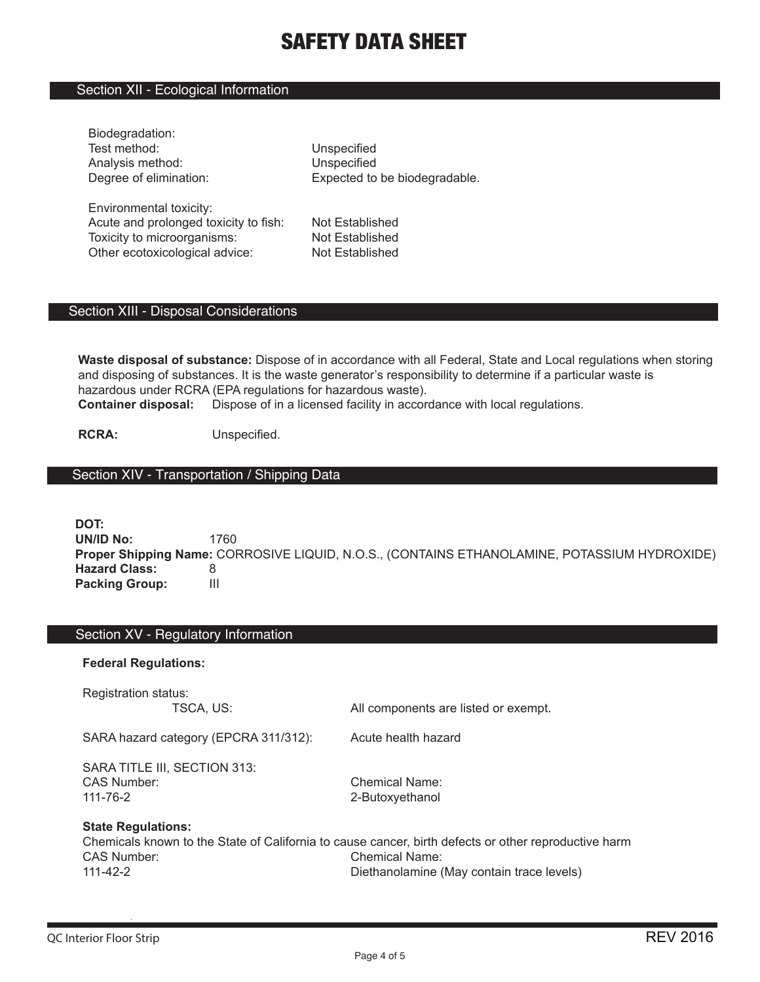### Section XII - Ecological Information

| Biodegradation:                       |                               |
|---------------------------------------|-------------------------------|
| Test method:                          | Unspecified                   |
| Analysis method:                      | Unspecified                   |
| Degree of elimination:                | Expected to be biodegradable. |
|                                       |                               |
| Environmental toxicity:               |                               |
| Acute and prolonged tovicity to fish. | Not Established               |

Acute and prolonged toxicity to fish: Not Established Toxicity to microorganisms: Not Established Other ecotoxicological advice: Not Established

#### Section XIII - Disposal Considerations

**Waste disposal of substance:** Dispose of in accordance with all Federal, State and Local regulations when storing and disposing of substances. It is the waste generator's responsibility to determine if a particular waste is hazardous under RCRA (EPA regulations for hazardous waste). **Container disposal:** Dispose of in a licensed facility in accordance with local regulations.

**RCRA:** Unspecified.

# Section XIV - Transportation / Shipping Data

**DOT: UN/ID No:** 1760 **Proper Shipping Name:** CORROSIVE LIQUID, N.O.S., (CONTAINS ETHANOLAMINE, POTASSIUM HYDROXIDE) **Hazard Class:** 8<br>**Packing Group:** 111 **Packing Group:** 

### Section XV - Regulatory Information

#### **Federal Regulations:**

| Registration status:<br>TSCA, US:                             | All components are listed or exempt.                                                                                                                                       |
|---------------------------------------------------------------|----------------------------------------------------------------------------------------------------------------------------------------------------------------------------|
| SARA hazard category (EPCRA 311/312):                         | Acute health hazard                                                                                                                                                        |
| SARA TITLE III, SECTION 313:<br>CAS Number:<br>$111 - 76 - 2$ | <b>Chemical Name:</b><br>2-Butoxyethanol                                                                                                                                   |
| <b>State Regulations:</b><br>CAS Number:<br>111-42-2          | Chemicals known to the State of California to cause cancer, birth defects or other reproductive harm<br><b>Chemical Name:</b><br>Diethanolamine (May contain trace levels) |